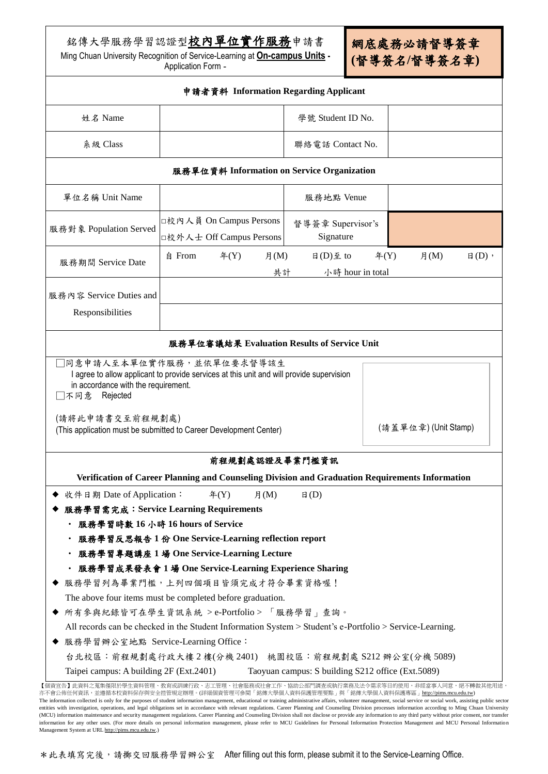銘傳大學服務學習認證型校內單位實作服務申請書

Ming Chuan University Recognition of Service-Learning at **On-campus Units -** Application Form **-**

網底處務必請督導簽章 **(**督導簽名**/**督導簽名章**)**

|                                                      | 申請者資料 Information Regarding Applicant                                                                    |                                  |                                           |
|------------------------------------------------------|----------------------------------------------------------------------------------------------------------|----------------------------------|-------------------------------------------|
| 姓名 Name                                              |                                                                                                          | 學號 Student ID No.                |                                           |
| 系級 Class                                             |                                                                                                          | 聯絡電話 Contact No.                 |                                           |
|                                                      | 服務單位資料 Information on Service Organization                                                               |                                  |                                           |
| 單位名稱 Unit Name                                       |                                                                                                          | 服務地點 Venue                       |                                           |
| 服務對象 Population Served                               | □校內人員 On Campus Persons<br>□校外人士 Off Campus Persons                                                      | 督導簽章 Supervisor's<br>Signature   |                                           |
| 服務期間 Service Date                                    | 自 From<br>#(Y)<br>月 $(M)$<br>共計                                                                          | 日 $(D)$ 至 to<br>小時 hour in total | #(Y)<br>月 $(M)$<br>$\boxplus$ (D) $\cdot$ |
|                                                      |                                                                                                          |                                  |                                           |
| 服務內容 Service Duties and<br>Responsibilities          |                                                                                                          |                                  |                                           |
|                                                      | 服務單位審議結果 Evaluation Results of Service Unit                                                              |                                  |                                           |
| in accordance with the requirement.<br>□不同意 Rejected | I agree to allow applicant to provide services at this unit and will provide supervision                 |                                  |                                           |
| (請將此申請書交至前程規劃處)                                      | (This application must be submitted to Career Development Center)                                        |                                  | (請蓋單位章) (Unit Stamp)                      |
|                                                      | 前程規劃處認證及畢業門檻資訊                                                                                           |                                  |                                           |
|                                                      |                                                                                                          |                                  |                                           |
|                                                      | Verification of Career Planning and Counseling Division and Graduation Requirements Information          |                                  |                                           |
| 收件日期 Date of Application:                            | $\mathcal{F}(Y)$<br>月 $(M)$<br>服務學習需完成: Service Learning Requirements                                    | $\boxplus$ (D)                   |                                           |
| 服務學習時數 16 小時 16 hours of Service                     |                                                                                                          |                                  |                                           |
|                                                      | 服務學習反思報告1份 One Service-Learning reflection report                                                        |                                  |                                           |
|                                                      | 服務學習專題講座 1 場 One Service-Learning Lecture                                                                |                                  |                                           |
|                                                      | 服務學習成果發表會 1 場 One Service-Learning Experience Sharing                                                    |                                  |                                           |
|                                                      | 服務學習列為畢業門檻,上列四個項目皆須完成才符合畢業資格喔!                                                                           |                                  |                                           |
|                                                      | The above four items must be completed before graduation.                                                |                                  |                                           |
|                                                      | 所有參與紀錄皆可在學生資訊系統 > e-Portfolio > 「服務學習」查詢。                                                                |                                  |                                           |
|                                                      | All records can be checked in the Student Information System > Student's e-Portfolio > Service-Learning. |                                  |                                           |
| ◆ 服務學習辦公室地點 Service-Learning Office:                 |                                                                                                          |                                  |                                           |
|                                                      | 台北校區:前程規劃處行政大樓2樓(分機2401) 桃園校區:前程規劃處 S212 辦公室(分機 5089)                                                    |                                  |                                           |

The information collected is only for the purposes of student information management, educational or training administrative affairs, volunteer management, social service or social work, assisting public sector entities with investigation, operations, and legal obligations set in accordance with relevant regulations. Career Planning and Counseling Division processes information according to Ming Chuan University (MCU) information maintenance and security management regulations. Career Planning and Counseling Division shall not disclose or provide any information to any third party without prior consent, nor transfer information for any other uses. (For more details on personal information management, please refer to MCU Guidelines for Personal Information Protection Management and MCU Personal Information Management System at UR[L http://pims.mcu.edu.tw.\)](http://pims.mcu.edu.tw/)